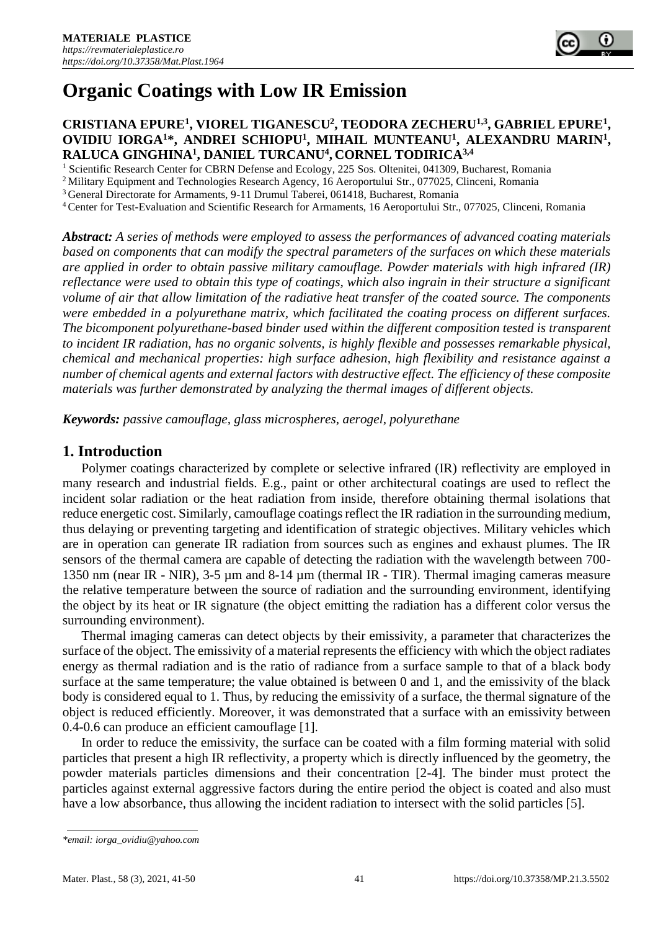# **Organic Coatings with Low IR Emission**

### **CRISTIANA EPURE<sup>1</sup> , VIOREL TIGANESCU<sup>2</sup> , TEODORA ZECHERU1,3, GABRIEL EPURE<sup>1</sup> , OVIDIU IORGA<sup>1</sup>\*, ANDREI SCHIOPU<sup>1</sup> , MIHAIL MUNTEANU<sup>1</sup> , ALEXANDRU MARIN<sup>1</sup> , RALUCA GINGHINA<sup>1</sup> , DANIEL TURCANU<sup>4</sup> , CORNEL TODIRICA3,4**

<sup>1</sup> Scientific Research Center for CBRN Defense and Ecology, 225 Sos. Oltenitei, 041309, Bucharest, Romania

<sup>2</sup> Military Equipment and Technologies Research Agency, 16 Aeroportului Str., 077025, Clinceni, Romania

<sup>3</sup>General Directorate for Armaments, 9-11 Drumul Taberei, 061418, Bucharest, Romania

<sup>4</sup>Center for Test-Evaluation and Scientific Research for Armaments, 16 Aeroportului Str., 077025, Clinceni, Romania

*Abstract: A series of methods were employed to assess the performances of advanced coating materials based on components that can modify the spectral parameters of the surfaces on which these materials are applied in order to obtain passive military camouflage. Powder materials with high infrared (IR) reflectance were used to obtain this type of coatings, which also ingrain in their structure a significant volume of air that allow limitation of the radiative heat transfer of the coated source. The components were embedded in a polyurethane matrix, which facilitated the coating process on different surfaces. The bicomponent polyurethane-based binder used within the different composition tested is transparent to incident IR radiation, has no organic solvents, is highly flexible and possesses remarkable physical, chemical and mechanical properties: high surface adhesion, high flexibility and resistance against a number of chemical agents and external factors with destructive effect. The efficiency of these composite materials was further demonstrated by analyzing the thermal images of different objects.*

*Keywords: passive camouflage, glass microspheres, aerogel, polyurethane*

#### **1. Introduction**

Polymer coatings characterized by complete or selective infrared (IR) reflectivity are employed in many research and industrial fields. E.g., paint or other architectural coatings are used to reflect the incident solar radiation or the heat radiation from inside, therefore obtaining thermal isolations that reduce energetic cost. Similarly, camouflage coatings reflect the IR radiation in the surrounding medium, thus delaying or preventing targeting and identification of strategic objectives. Military vehicles which are in operation can generate IR radiation from sources such as engines and exhaust plumes. The IR sensors of the thermal camera are capable of detecting the radiation with the wavelength between 700- 1350 nm (near IR - NIR), 3-5 µm and 8-14 µm (thermal IR - TIR). Thermal imaging cameras measure the relative temperature between the source of radiation and the surrounding environment, identifying the object by its heat or IR signature (the object emitting the radiation has a different color versus the surrounding environment).

Thermal imaging cameras can detect objects by their emissivity, a parameter that characterizes the surface of the object. The emissivity of a material represents the efficiency with which the object radiates energy as thermal radiation and is the ratio of radiance from a surface sample to that of a black body surface at the same temperature; the value obtained is between 0 and 1, and the emissivity of the black body is considered equal to 1. Thus, by reducing the emissivity of a surface, the thermal signature of the object is reduced efficiently. Moreover, it was demonstrated that a surface with an emissivity between 0.4-0.6 can produce an efficient camouflage [1].

In order to reduce the emissivity, the surface can be coated with a film forming material with solid particles that present a high IR reflectivity, a property which is directly influenced by the geometry, the powder materials particles dimensions and their concentration [2-4]. The binder must protect the particles against external aggressive factors during the entire period the object is coated and also must have a low absorbance, thus allowing the incident radiation to intersect with the solid particles [5].

*<sup>\*</sup>email[: iorga\\_ovidiu@yahoo.com](mailto:iorga_ovidiu@yahoo.com)*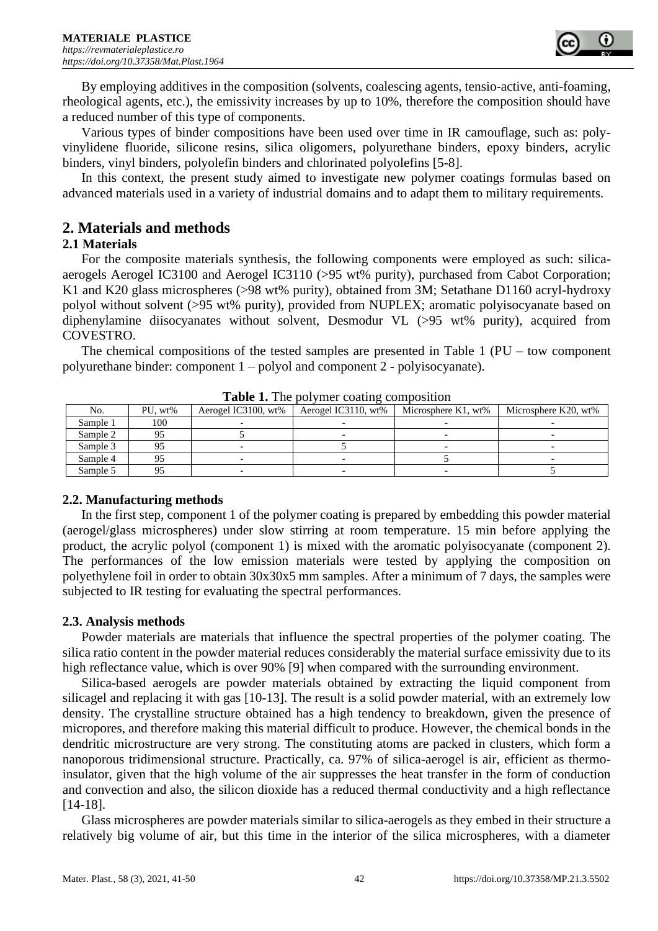

By employing additives in the composition (solvents, coalescing agents, tensio-active, anti-foaming, rheological agents, etc.), the emissivity increases by up to 10%, therefore the composition should have a reduced number of this type of components.

Various types of binder compositions have been used over time in IR camouflage, such as: polyvinylidene fluoride, silicone resins, silica oligomers, polyurethane binders, epoxy binders, acrylic binders, vinyl binders, polyolefin binders and chlorinated polyolefins [5-8].

In this context, the present study aimed to investigate new polymer coatings formulas based on advanced materials used in a variety of industrial domains and to adapt them to military requirements.

# **2. Materials and methods**

#### **2.1 Materials**

For the composite materials synthesis, the following components were employed as such: silicaaerogels Aerogel IC3100 and Aerogel IC3110 (>95 wt% purity), purchased from Cabot Corporation; K1 and K20 glass microspheres (>98 wt% purity), obtained from 3M; Setathane D1160 acryl-hydroxy polyol without solvent (>95 wt% purity), provided from NUPLEX; aromatic polyisocyanate based on diphenylamine diisocyanates without solvent, Desmodur VL (>95 wt% purity), acquired from COVESTRO.

The chemical compositions of the tested samples are presented in Table 1 (PU – tow component polyurethane binder: component 1 – polyol and component 2 - polyisocyanate).

| $-$ , $-$ , $-$ , $-$ , $-$ , $-$ , $-$ , $-$ , $-$ , $-$ , $-$ , $-$ , $-$ , $-$ , $-$ , $-$ , $-$ , $-$ , $-$ , $-$ , $-$ , $-$ , $-$ , $-$ , $-$ , $-$ , $-$ , $-$ , $-$ , $-$ , $-$ , $-$ , $-$ , $-$ , $-$ , $-$ , $-$ , |         |                     |                     |                     |                      |  |  |
|-------------------------------------------------------------------------------------------------------------------------------------------------------------------------------------------------------------------------------|---------|---------------------|---------------------|---------------------|----------------------|--|--|
| No.                                                                                                                                                                                                                           | PU, wt% | Aerogel IC3100, wt% | Aerogel IC3110, wt% | Microsphere K1, wt% | Microsphere K20, wt% |  |  |
| Sample 1                                                                                                                                                                                                                      | 100     |                     |                     |                     |                      |  |  |
| Sample 2                                                                                                                                                                                                                      |         |                     |                     |                     |                      |  |  |
| Sample 3                                                                                                                                                                                                                      |         |                     |                     |                     |                      |  |  |
| Sample 4                                                                                                                                                                                                                      |         |                     |                     |                     |                      |  |  |
| Sample 5                                                                                                                                                                                                                      |         |                     |                     |                     |                      |  |  |

**Table 1.** The polymer coating composition

## **2.2. Manufacturing methods**

In the first step, component 1 of the polymer coating is prepared by embedding this powder material (aerogel/glass microspheres) under slow stirring at room temperature. 15 min before applying the product, the acrylic polyol (component 1) is mixed with the aromatic polyisocyanate (component 2). The performances of the low emission materials were tested by applying the composition on polyethylene foil in order to obtain 30x30x5 mm samples. After a minimum of 7 days, the samples were subjected to IR testing for evaluating the spectral performances.

#### **2.3. Analysis methods**

Powder materials are materials that influence the spectral properties of the polymer coating. The silica ratio content in the powder material reduces considerably the material surface emissivity due to its high reflectance value, which is over 90% [9] when compared with the surrounding environment.

Silica-based aerogels are powder materials obtained by extracting the liquid component from silicagel and replacing it with gas [10-13]. The result is a solid powder material, with an extremely low density. The crystalline structure obtained has a high tendency to breakdown, given the presence of micropores, and therefore making this material difficult to produce. However, the chemical bonds in the dendritic microstructure are very strong. The constituting atoms are packed in clusters, which form a nanoporous tridimensional structure. Practically, ca. 97% of silica-aerogel is air, efficient as thermoinsulator, given that the high volume of the air suppresses the heat transfer in the form of conduction and convection and also, the silicon dioxide has a reduced thermal conductivity and a high reflectance [14-18].

Glass microspheres are powder materials similar to silica-aerogels as they embed in their structure a relatively big volume of air, but this time in the interior of the silica microspheres, with a diameter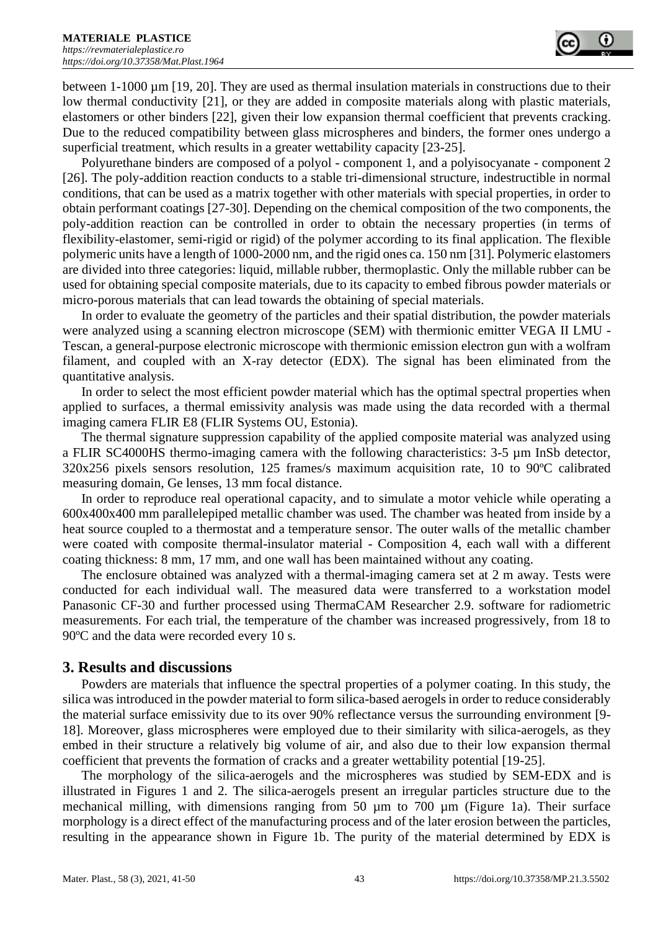between 1-1000 µm [19, 20]. They are used as thermal insulation materials in constructions due to their low thermal conductivity [21], or they are added in composite materials along with plastic materials, elastomers or other binders [22], given their low expansion thermal coefficient that prevents cracking. Due to the reduced compatibility between glass microspheres and binders, the former ones undergo a superficial treatment, which results in a greater wettability capacity [23-25].

Polyurethane binders are composed of a polyol - component 1, and a polyisocyanate - component 2 [26]. The poly-addition reaction conducts to a stable tri-dimensional structure, indestructible in normal conditions, that can be used as a matrix together with other materials with special properties, in order to obtain performant coatings [27-30]. Depending on the chemical composition of the two components, the poly-addition reaction can be controlled in order to obtain the necessary properties (in terms of flexibility-elastomer, semi-rigid or rigid) of the polymer according to its final application. The flexible polymeric units have a length of 1000-2000 nm, and the rigid ones ca. 150 nm [31]. Polymeric elastomers are divided into three categories: liquid, millable rubber, thermoplastic. Only the millable rubber can be used for obtaining special composite materials, due to its capacity to embed fibrous powder materials or micro-porous materials that can lead towards the obtaining of special materials.

In order to evaluate the geometry of the particles and their spatial distribution, the powder materials were analyzed using a scanning electron microscope (SEM) with thermionic emitter VEGA II LMU - Tescan, a general-purpose electronic microscope with thermionic emission electron gun with a wolfram filament, and coupled with an X-ray detector (EDX). The signal has been eliminated from the quantitative analysis.

In order to select the most efficient powder material which has the optimal spectral properties when applied to surfaces, a thermal emissivity analysis was made using the data recorded with a thermal imaging camera FLIR E8 (FLIR Systems OU, Estonia).

The thermal signature suppression capability of the applied composite material was analyzed using a FLIR SC4000HS thermo-imaging camera with the following characteristics: 3-5 µm InSb detector, 320x256 pixels sensors resolution, 125 frames/s maximum acquisition rate, 10 to 90ºC calibrated measuring domain, Ge lenses, 13 mm focal distance.

In order to reproduce real operational capacity, and to simulate a motor vehicle while operating a 600x400x400 mm parallelepiped metallic chamber was used. The chamber was heated from inside by a heat source coupled to a thermostat and a temperature sensor. The outer walls of the metallic chamber were coated with composite thermal-insulator material - Composition 4, each wall with a different coating thickness: 8 mm, 17 mm, and one wall has been maintained without any coating.

The enclosure obtained was analyzed with a thermal-imaging camera set at 2 m away. Tests were conducted for each individual wall. The measured data were transferred to a workstation model Panasonic CF-30 and further processed using ThermaCAM Researcher 2.9. software for radiometric measurements. For each trial, the temperature of the chamber was increased progressively, from 18 to 90°C and the data were recorded every 10 s.

## **3. Results and discussions**

Powders are materials that influence the spectral properties of a polymer coating. In this study, the silica was introduced in the powder material to form silica-based aerogels in order to reduce considerably the material surface emissivity due to its over 90% reflectance versus the surrounding environment [9- 18]. Moreover, glass microspheres were employed due to their similarity with silica-aerogels, as they embed in their structure a relatively big volume of air, and also due to their low expansion thermal coefficient that prevents the formation of cracks and a greater wettability potential [19-25].

The morphology of the silica-aerogels and the microspheres was studied by SEM-EDX and is illustrated in Figures 1 and 2. The silica-aerogels present an irregular particles structure due to the mechanical milling, with dimensions ranging from 50  $\mu$ m to 700  $\mu$ m (Figure 1a). Their surface morphology is a direct effect of the manufacturing process and of the later erosion between the particles, resulting in the appearance shown in Figure 1b. The purity of the material determined by EDX is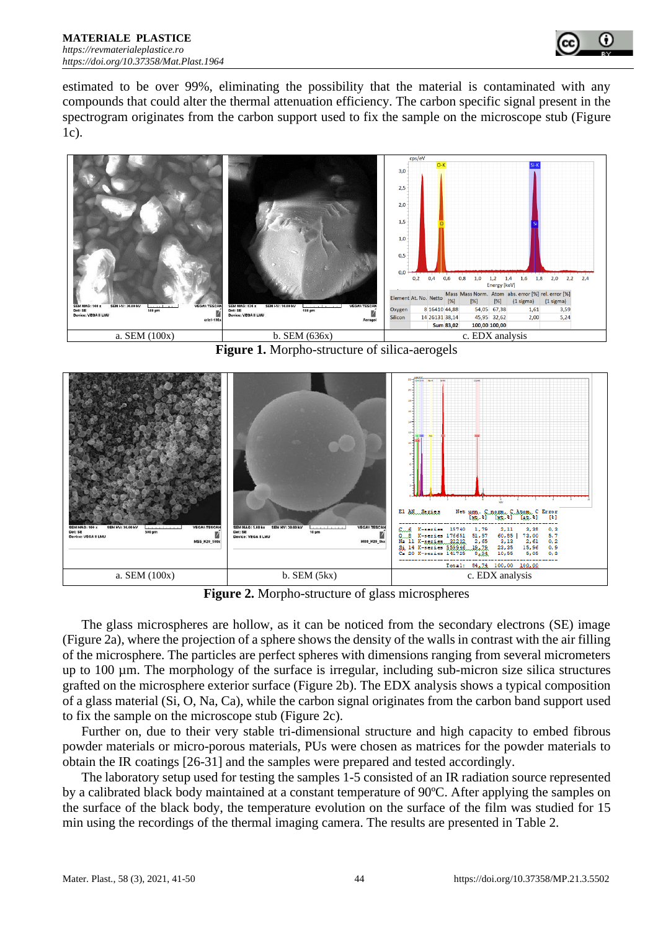

estimated to be over 99%, eliminating the possibility that the material is contaminated with any compounds that could alter the thermal attenuation efficiency. The carbon specific signal present in the spectrogram originates from the carbon support used to fix the sample on the microscope stub (Figure 1c).



**Figure 1.** Morpho-structure of silica-aerogels



**Figure 2.** Morpho-structure of glass microspheres

The glass microspheres are hollow, as it can be noticed from the secondary electrons (SE) image (Figure 2a), where the projection of a sphere shows the density of the walls in contrast with the air filling of the microsphere. The particles are perfect spheres with dimensions ranging from several micrometers up to 100 µm. The morphology of the surface is irregular, including sub-micron size silica structures grafted on the microsphere exterior surface (Figure 2b). The EDX analysis shows a typical composition of a glass material (Si, O, Na, Ca), while the carbon signal originates from the carbon band support used to fix the sample on the microscope stub (Figure 2c).

Further on, due to their very stable tri-dimensional structure and high capacity to embed fibrous powder materials or micro-porous materials, PUs were chosen as matrices for the powder materials to obtain the IR coatings [26-31] and the samples were prepared and tested accordingly.

The laboratory setup used for testing the samples 1-5 consisted of an IR radiation source represented by a calibrated black body maintained at a constant temperature of 90ºC. After applying the samples on the surface of the black body, the temperature evolution on the surface of the film was studied for 15 min using the recordings of the thermal imaging camera. The results are presented in Table 2.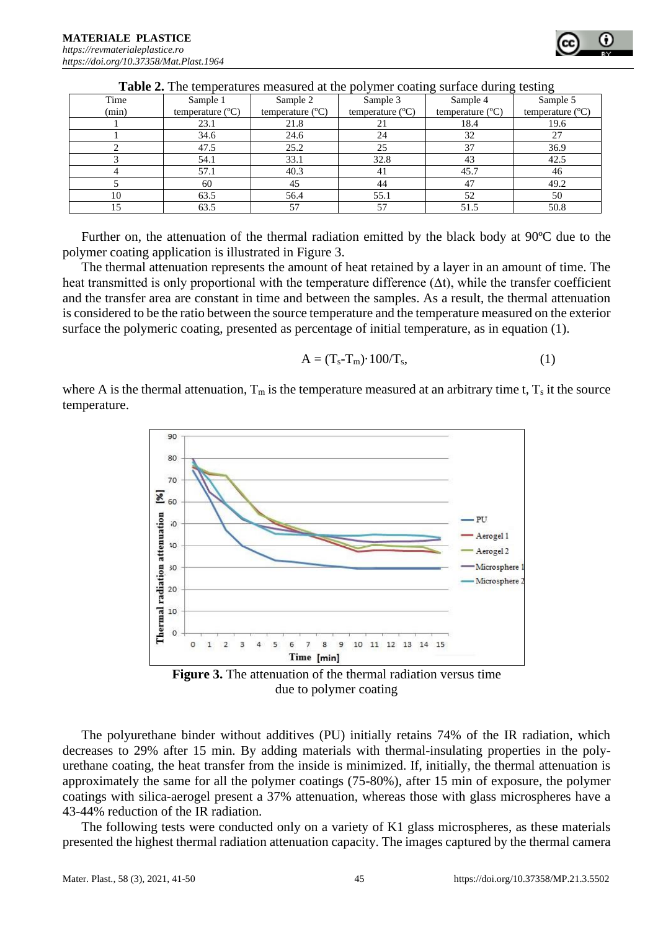|       |                           |                           |                           |                           | $\epsilon$                |
|-------|---------------------------|---------------------------|---------------------------|---------------------------|---------------------------|
| Time  | Sample 1                  | Sample 2                  | Sample 3                  | Sample 4                  | Sample 5                  |
| (min) | temperature $(^{\circ}C)$ | temperature $(^{\circ}C)$ | temperature $(^{\circ}C)$ | temperature $(^{\circ}C)$ | temperature $(^{\circ}C)$ |
|       | 23.1                      | 21.8                      | 21                        | 18.4                      | 19.6                      |
|       | 34.6                      | 24.6                      | 24                        | 32                        | 27                        |
|       | 47.5                      | 25.2                      | 25                        | 37                        | 36.9                      |
|       | 54.1                      | 33.1                      | 32.8                      | 43                        | 42.5                      |
|       | 57.1                      | 40.3                      | 41                        | 45.7                      | 46                        |
|       | 60                        | 45                        | 44                        | 47                        | 49.2                      |
| 10    | 63.5                      | 56.4                      | 55.1                      | 52                        | 50                        |
|       | 63.5                      | 57                        | 57                        | 51.5                      | 50.8                      |

**Table 2.** The temperatures measured at the polymer coating surface during testing

Further on, the attenuation of the thermal radiation emitted by the black body at 90ºC due to the polymer coating application is illustrated in Figure 3.

The thermal attenuation represents the amount of heat retained by a layer in an amount of time. The heat transmitted is only proportional with the temperature difference  $(\Delta t)$ , while the transfer coefficient and the transfer area are constant in time and between the samples. As a result, the thermal attenuation is considered to be the ratio between the source temperature and the temperature measured on the exterior surface the polymeric coating, presented as percentage of initial temperature, as in equation (1).

$$
A = (T_s - T_m) \cdot 100/T_s, \tag{1}
$$

where A is the thermal attenuation,  $T_m$  is the temperature measured at an arbitrary time t,  $T_s$  it the source temperature.





The polyurethane binder without additives (PU) initially retains 74% of the IR radiation, which decreases to 29% after 15 min. By adding materials with thermal-insulating properties in the polyurethane coating, the heat transfer from the inside is minimized. If, initially, the thermal attenuation is approximately the same for all the polymer coatings (75-80%), after 15 min of exposure, the polymer coatings with silica-aerogel present a 37% attenuation, whereas those with glass microspheres have a 43-44% reduction of the IR radiation.

The following tests were conducted only on a variety of K1 glass microspheres, as these materials presented the highest thermal radiation attenuation capacity. The images captured by the thermal camera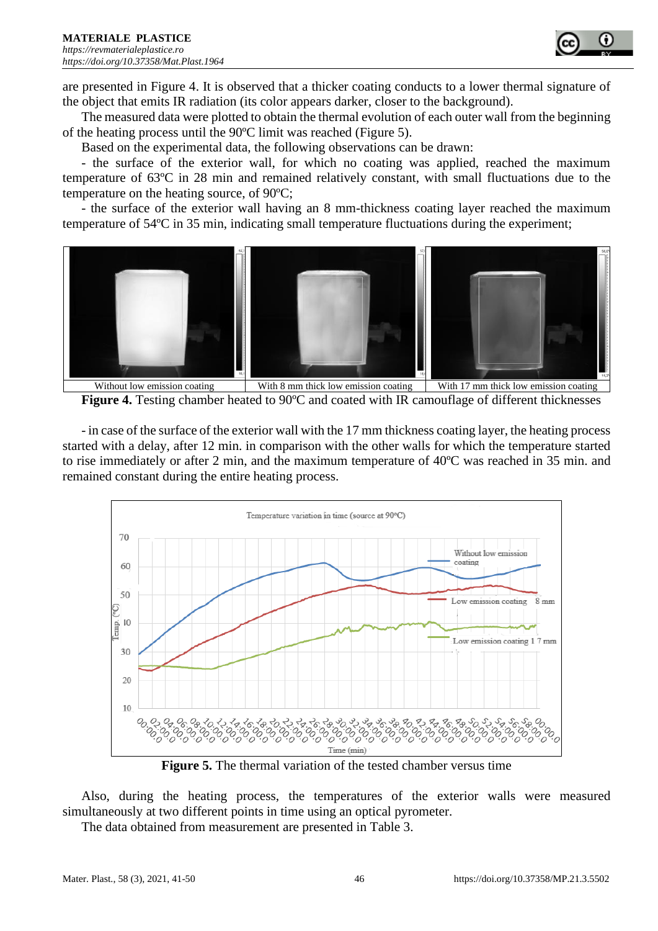

are presented in Figure 4. It is observed that a thicker coating conducts to a lower thermal signature of the object that emits IR radiation (its color appears darker, closer to the background).

The measured data were plotted to obtain the thermal evolution of each outer wall from the beginning of the heating process until the 90ºC limit was reached (Figure 5).

Based on the experimental data, the following observations can be drawn:

- the surface of the exterior wall, for which no coating was applied, reached the maximum temperature of 63ºC in 28 min and remained relatively constant, with small fluctuations due to the temperature on the heating source, of 90ºC;

- the surface of the exterior wall having an 8 mm-thickness coating layer reached the maximum temperature of 54ºC in 35 min, indicating small temperature fluctuations during the experiment;



**Figure 4.** Testing chamber heated to 90ºC and coated with IR camouflage of different thicknesses

- in case of the surface of the exterior wall with the 17 mm thickness coating layer, the heating process started with a delay, after 12 min. in comparison with the other walls for which the temperature started to rise immediately or after 2 min, and the maximum temperature of 40ºC was reached in 35 min. and remained constant during the entire heating process.



**Figure 5.** The thermal variation of the tested chamber versus time

Also, during the heating process, the temperatures of the exterior walls were measured simultaneously at two different points in time using an optical pyrometer.

The data obtained from measurement are presented in Table 3.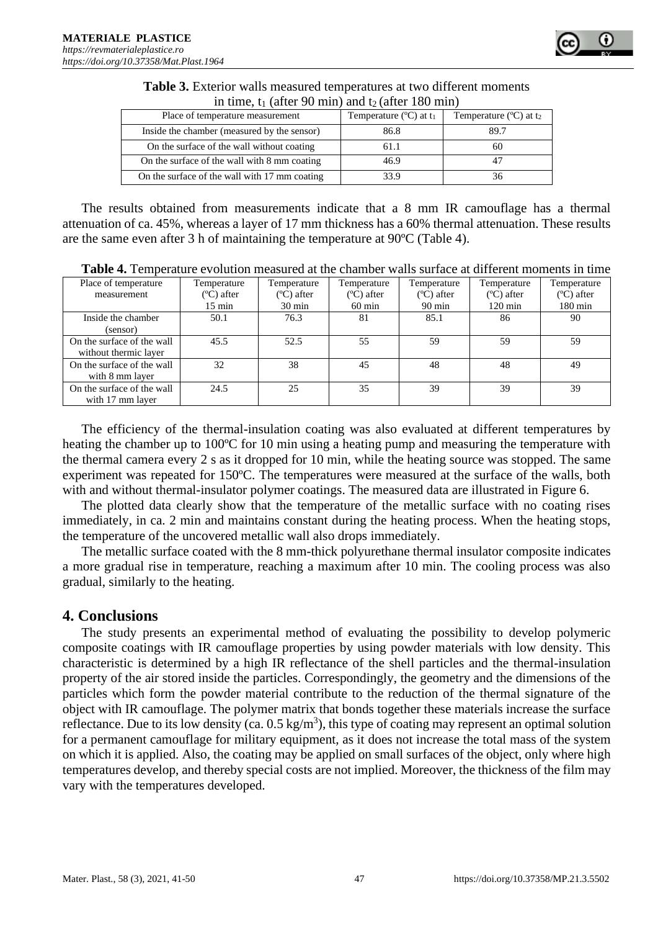| In three, $\iota_1$ (arter 90 min) and $\iota_2$ (arter 180 min) |                                     |                                             |  |  |
|------------------------------------------------------------------|-------------------------------------|---------------------------------------------|--|--|
| Place of temperature measurement                                 | Temperature $(C)$ at t <sub>1</sub> | Temperature $(^{\circ}C)$ at t <sub>2</sub> |  |  |
| Inside the chamber (measured by the sensor)                      | 86.8                                | 89.7                                        |  |  |
| On the surface of the wall without coating                       | 61.1                                | 60                                          |  |  |
| On the surface of the wall with 8 mm coating                     | 46.9                                |                                             |  |  |
| On the surface of the wall with 17 mm coating                    | 33.9                                | 36                                          |  |  |

**Table 3.** Exterior walls measured temperatures at two different moments in time, t<sub>1</sub> (after 90 min) and t<sub>2</sub> (after 180 min)

The results obtained from measurements indicate that a 8 mm IR camouflage has a thermal attenuation of ca. 45%, whereas a layer of 17 mm thickness has a 60% thermal attenuation. These results are the same even after 3 h of maintaining the temperature at 90ºC (Table 4).

| Place of temperature                                | Temperature      | Temperature      | Temperature      | Temperature      | Temperature       | Temperature<br>$(C)$ after |
|-----------------------------------------------------|------------------|------------------|------------------|------------------|-------------------|----------------------------|
| measurement                                         | $(C)$ after      | $(C)$ after      | $(C)$ after      | $(C)$ after      | $(C)$ after       |                            |
|                                                     | $15 \text{ min}$ | $30 \text{ min}$ | $60 \text{ min}$ | $90 \text{ min}$ | $120 \text{ min}$ | $180 \text{ min}$          |
| Inside the chamber<br>(sensor)                      | 50.1             | 76.3             | 81               | 85.1             | 86                | 90                         |
| On the surface of the wall<br>without thermic layer | 45.5             | 52.5             | 55               | 59               | 59                | 59                         |
| On the surface of the wall<br>with 8 mm layer       | 32               | 38               | 45               | 48               | 48                | 49                         |
| On the surface of the wall<br>with 17 mm layer      | 24.5             | 25               | 35               | 39               | 39                | 39                         |

The efficiency of the thermal-insulation coating was also evaluated at different temperatures by heating the chamber up to 100°C for 10 min using a heating pump and measuring the temperature with the thermal camera every 2 s as it dropped for 10 min, while the heating source was stopped. The same experiment was repeated for 150ºC. The temperatures were measured at the surface of the walls, both with and without thermal-insulator polymer coatings. The measured data are illustrated in Figure 6.

The plotted data clearly show that the temperature of the metallic surface with no coating rises immediately, in ca. 2 min and maintains constant during the heating process. When the heating stops, the temperature of the uncovered metallic wall also drops immediately.

The metallic surface coated with the 8 mm-thick polyurethane thermal insulator composite indicates a more gradual rise in temperature, reaching a maximum after 10 min. The cooling process was also gradual, similarly to the heating.

# **4. Conclusions**

The study presents an experimental method of evaluating the possibility to develop polymeric composite coatings with IR camouflage properties by using powder materials with low density. This characteristic is determined by a high IR reflectance of the shell particles and the thermal-insulation property of the air stored inside the particles. Correspondingly, the geometry and the dimensions of the particles which form the powder material contribute to the reduction of the thermal signature of the object with IR camouflage. The polymer matrix that bonds together these materials increase the surface reflectance. Due to its low density (ca.  $0.5 \text{ kg/m}^3$ ), this type of coating may represent an optimal solution for a permanent camouflage for military equipment, as it does not increase the total mass of the system on which it is applied. Also, the coating may be applied on small surfaces of the object, only where high temperatures develop, and thereby special costs are not implied. Moreover, the thickness of the film may vary with the temperatures developed.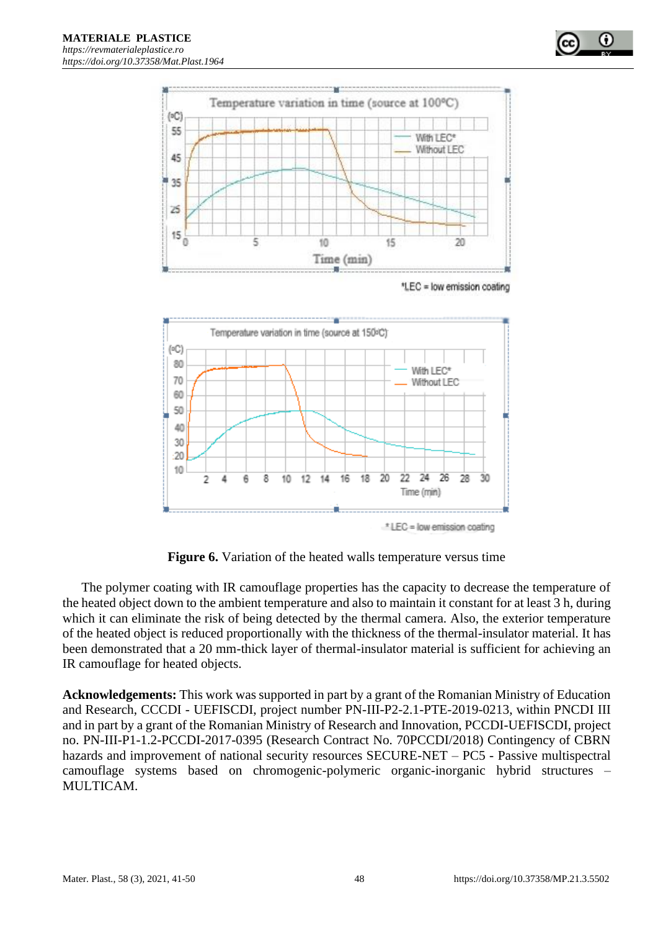

**Figure 6.** Variation of the heated walls temperature versus time

The polymer coating with IR camouflage properties has the capacity to decrease the temperature of the heated object down to the ambient temperature and also to maintain it constant for at least 3 h, during which it can eliminate the risk of being detected by the thermal camera. Also, the exterior temperature of the heated object is reduced proportionally with the thickness of the thermal-insulator material. It has been demonstrated that a 20 mm-thick layer of thermal-insulator material is sufficient for achieving an IR camouflage for heated objects.

**Acknowledgements:** This work was supported in part by a grant of the Romanian Ministry of Education and Research, CCCDI - UEFISCDI, project number PN-III-P2-2.1-PTE-2019-0213, within PNCDI III and in part by a grant of the Romanian Ministry of Research and Innovation, PCCDI-UEFISCDI, project no. PN-III-P1-1.2-PCCDI-2017-0395 (Research Contract No. 70PCCDI/2018) Contingency of CBRN hazards and improvement of national security resources SECURE-NET – PC5 - Passive multispectral camouflage systems based on chromogenic-polymeric organic-inorganic hybrid structures – MULTICAM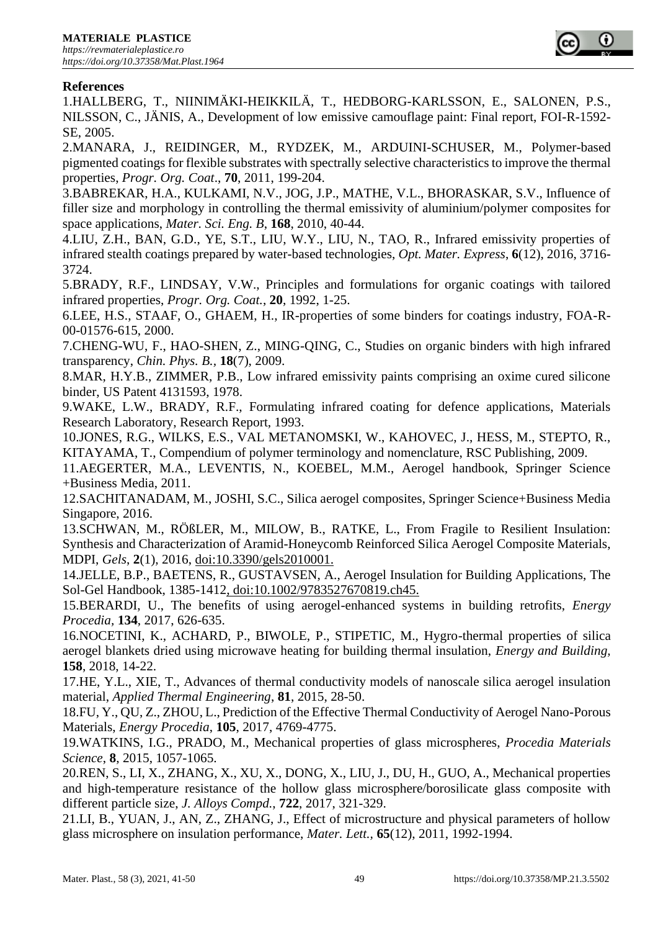

### **References**

1.HALLBERG, T., NIINIMÄKI-HEIKKILÄ, T., HEDBORG-KARLSSON, E., SALONEN, P.S., NILSSON, C., JÄNIS, A., Development of low emissive camouflage paint: Final report, FOI-R-1592- SE, 2005.

2.MANARA, J., REIDINGER, M., RYDZEK, M., ARDUINI-SCHUSER, M., Polymer-based pigmented coatings for flexible substrates with spectrally selective characteristics to improve the thermal properties, *Progr. Org. Coat*., **70**, 2011, 199-204.

3.BABREKAR, H.A., KULKAMI, N.V., JOG, J.P., MATHE, V.L., BHORASKAR, S.V., Influence of filler size and morphology in controlling the thermal emissivity of aluminium/polymer composites for space applications, *Mater. Sci. Eng. B*, **168**, 2010, 40-44.

4.LIU, Z.H., BAN, G.D., YE, S.T., LIU, W.Y., LIU, N., TAO, R., Infrared emissivity properties of infrared stealth coatings prepared by water-based technologies, *Opt. Mater. Express*, **6**(12), 2016, 3716- 3724.

5.BRADY, R.F., LINDSAY, V.W., Principles and formulations for organic coatings with tailored infrared properties, *Progr. Org. Coat.*, **20**, 1992, 1-25.

6.LEE, H.S., STAAF, O., GHAEM, H., IR-properties of some binders for coatings industry, FOA-R-00-01576-615, 2000.

7.CHENG-WU, F., HAO-SHEN, Z., MING-QING, C., Studies on organic binders with high infrared transparency, *Chin. Phys. B.,* **18**(7), 2009.

8.MAR, H.Y.B., ZIMMER, P.B., Low infrared emissivity paints comprising an oxime cured silicone binder, US Patent 4131593, 1978.

9.WAKE, L.W., BRADY, R.F., Formulating infrared coating for defence applications, Materials Research Laboratory, Research Report, 1993.

10.JONES, R.G., WILKS, E.S., VAL METANOMSKI, W., KAHOVEC, J., HESS, M., STEPTO, R., KITAYAMA, T., Compendium of polymer terminology and nomenclature, RSC Publishing, 2009.

11.AEGERTER, M.A., LEVENTIS, N., KOEBEL, M.M., Aerogel handbook, Springer Science +Business Media, 2011.

12.SACHITANADAM, M., JOSHI, S.C., Silica aerogel composites, Springer Science+Business Media Singapore, 2016.

13.SCHWAN, M., RÖßLER, M., MILOW, B., RATKE, L., From Fragile to Resilient Insulation: Synthesis and Characterization of Aramid-Honeycomb Reinforced Silica Aerogel Composite Materials, MDPI, *Gels*, **2**(1), 2016, doi:10.3390/gels2010001.

14.JELLE, B.P., BAETENS, R., GUSTAVSEN, A., Aerogel Insulation for Building Applications, The Sol-Gel Handbook, 1385-1412, doi:10.1002/9783527670819.ch45.

15.BERARDI, U., The benefits of using aerogel-enhanced systems in building retrofits, *Energy Procedia,* **134**, 2017, 626-635.

16.NOCETINI, K., ACHARD, P., BIWOLE, P., STIPETIC, M., Hygro-thermal properties of silica aerogel blankets dried using microwave heating for building thermal insulation, *Energy and Building,* **158**, 2018, 14-22.

17.HE, Y.L., XIE, T., Advances of thermal conductivity models of nanoscale silica aerogel insulation material, *Applied Thermal Engineering*, **81**, 2015, 28-50.

18.FU, Y., QU, Z., ZHOU, L., Prediction of the Effective Thermal Conductivity of Aerogel Nano-Porous Materials, *Energy Procedia*, **105**, 2017, 4769-4775.

19.WATKINS, I.G., PRADO, M., Mechanical properties of glass microspheres, *Procedia Materials Science*, **8**, 2015, 1057-1065.

20.REN, S., LI, X., ZHANG, X., XU, X., DONG, X., LIU, J., DU, H., GUO, A., Mechanical properties and high-temperature resistance of the hollow glass microsphere/borosilicate glass composite with different particle size, *J. Alloys Compd.*, **722**, 2017, 321-329.

21.LI, B., YUAN, J., AN, Z., ZHANG, J., Effect of microstructure and physical parameters of hollow glass microsphere on insulation performance, *Mater. Lett.,* **65**(12), 2011, 1992-1994.